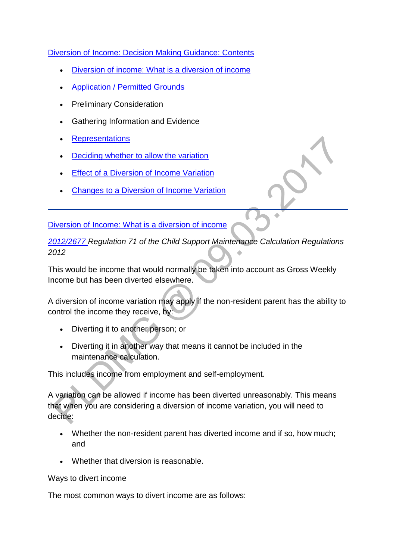[Diversion of Income: Decision Making Guidance: Contents](http://np-cmg-sharepoint.link2.gpn.gov.uk/sites/policy-law-and-decision-making-guidance/Pages/Variations/Additional%20Income/Diversion-of-income.aspx#Diversion%20of%20Income%3a%20Decision%20Making%20Guidance%3a%20Contents) 

- [Diversion of income: What is a diversion of income](http://np-cmg-sharepoint.link2.gpn.gov.uk/sites/policy-law-and-decision-making-guidance/Pages/Variations/Additional%20Income/Diversion-of-income.aspx#Diversion%20of%20income%3a%20What%20is%20a%20diversion%20of%20income)
- [Application / Permitted Grounds](http://np-cmg-sharepoint.link2.gpn.gov.uk/sites/policy-law-and-decision-making-guidance/Pages/Variations/Additional%20Income/Diversion-of-income.aspx#Diversion%20of%20Income%3a%20Decision%20Making%20Guidance%3a%20Application%20/%20Permitted%20Grounds)
- Preliminary Consideration
- Gathering Information and Evidence
- **[Representations](http://np-cmg-sharepoint.link2.gpn.gov.uk/sites/policy-law-and-decision-making-guidance/Pages/Variations/Additional%20Income/Diversion-of-income.aspx#Diversion%20of%20Income%3a%20Decision%20Making%20Guidance%3a%20Representations)**
- [Deciding whether to allow the variation](http://np-cmg-sharepoint.link2.gpn.gov.uk/sites/policy-law-and-decision-making-guidance/Pages/Variations/Additional%20Income/Diversion-of-income.aspx#Diversion%20of%20Income%3a%20Decision%20Making%20Guidance%3a%20Deciding%20whether%20to%20allow%20the%20variation)
- **Effect [of a Diversion of Income Variation](http://np-cmg-sharepoint.link2.gpn.gov.uk/sites/policy-law-and-decision-making-guidance/Pages/Variations/Additional%20Income/Diversion-of-income.aspx#Effect%20of%20a%20Diversion%20of%20Income%20Variation)**
- [Changes to a Diversion of Income Variation](http://np-cmg-sharepoint.link2.gpn.gov.uk/sites/policy-law-and-decision-making-guidance/Pages/Variations/Additional%20Income/Diversion-of-income.aspx#Diversion%20of%20Income%3a%20Decision%20Making%20Guidance%3a%20Changes%20to%20a%20Diversion%20of%20Income%20Variation)

[Diversion of Income: What is a diversion of income](http://np-cmg-sharepoint.link2.gpn.gov.uk/sites/policy-law-and-decision-making-guidance/Pages/Variations/Additional%20Income/Diversion-of-income.aspx#Diversion%20of%20Income%3a%20What%20is%20a%20diversion%20of%20income)

*[2012/2677 R](http://www.legislation.gov.uk/uksi/2012/2677)egulation 71 of the Child Support Maintenance Calculation Regulations 2012*

This would be income that would normally be taken into account as Gross Weekly Income but has been diverted elsewhere.

A diversion of income variation may apply if the non-resident parent has the ability to control the income they receive, by:

- Diverting it to another person; or
- Diverting it in another way that means it cannot be included in the maintenance calculation.

This includes income from employment and self-employment.

A variation can be allowed if income has been diverted unreasonably. This means that when you are considering a diversion of income variation, you will need to decide:

- Whether the non-resident parent has diverted income and if so, how much; and
- Whether that diversion is reasonable.

#### Ways to divert income

The most common ways to divert income are as follows: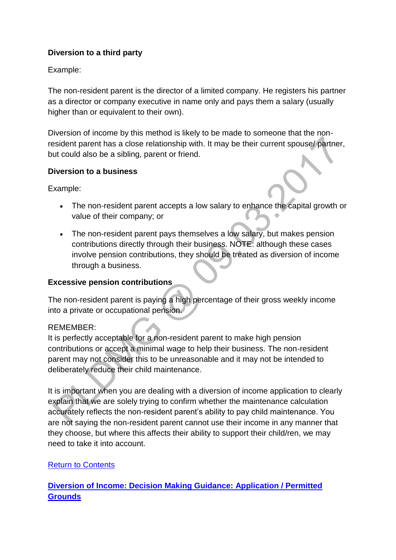## **Diversion to a third party**

## Example:

The non-resident parent is the director of a limited company. He registers his partner as a director or company executive in name only and pays them a salary (usually higher than or equivalent to their own).

Diversion of income by this method is likely to be made to someone that the nonresident parent has a close relationship with. It may be their current spouse/ partner, but could also be a sibling, parent or friend.

## **Diversion to a business**

Example:

- The non-resident parent accepts a low salary to enhance the capital growth or value of their company; or
- The non-resident parent pays themselves a low salary, but makes pension contributions directly through their business. NOTE: although these cases involve pension contributions, they should be treated as diversion of income through a business.

## **Excessive pension contributions**

The non-resident parent is paying a high percentage of their gross weekly income into a private or occupational pension.

## REMEMBER:

It is perfectly acceptable for a non-resident parent to make high pension contributions or accept a minimal wage to help their business. The non-resident parent may not consider this to be unreasonable and it may not be intended to deliberately reduce their child maintenance.

It is important when you are dealing with a diversion of income application to clearly explain that we are solely trying to confirm whether the maintenance calculation accurately reflects the non-resident parent's ability to pay child maintenance. You are not saying the non-resident parent cannot use their income in any manner that they choose, but where this affects their ability to support their child/ren, we may need to take it into account.

## Return [to Contents](http://np-cmg-sharepoint.link2.gpn.gov.uk/sites/policy-law-and-decision-making-guidance/Pages/Variations/Additional%20Income/Diversion-of-income.aspx#Diversion%20of%20Income%3a%20Decision%20Making%20Guidance%3a%20Contents)

## **[Diversion of Income: Decision Making Guidance: Application / Permitted](http://np-cmg-sharepoint.link2.gpn.gov.uk/sites/policy-law-and-decision-making-guidance/Pages/Variations/Additional%20Income/Diversion-of-income.aspx)  [Grounds](http://np-cmg-sharepoint.link2.gpn.gov.uk/sites/policy-law-and-decision-making-guidance/Pages/Variations/Additional%20Income/Diversion-of-income.aspx)**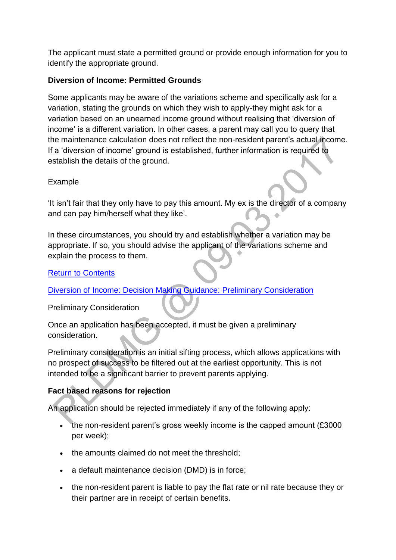The applicant must state a permitted ground or provide enough information for you to identify the appropriate ground.

### **Diversion of Income: Permitted Grounds**

Some applicants may be aware of the variations scheme and specifically ask for a variation, stating the grounds on which they wish to apply-they might ask for a variation based on an unearned income ground without realising that 'diversion of income' is a different variation. In other cases, a parent may call you to query that the maintenance calculation does not reflect the non-resident parent's actual income. If a 'diversion of income' ground is established, further information is required to establish the details of the ground.

## Example

'It isn't fair that they only have to pay this amount. My ex is the director of a company and can pay him/herself what they like'.

In these circumstances, you should try and establish whether a variation may be appropriate. If so, you should advise the applicant of the variations scheme and explain the process to them.

## [Return to Contents](http://np-cmg-sharepoint.link2.gpn.gov.uk/sites/policy-law-and-decision-making-guidance/Pages/Variations/Additional%20Income/Diversion-of-income.aspx#Diversion%20of%20Income%3a%20Decision%20Making%20Guidance%3a%20Contents)

### [Diversion of Income: Decision Making Guidance: Preliminary Consideration](http://np-cmg-sharepoint.link2.gpn.gov.uk/sites/policy-law-and-decision-making-guidance/Pages/Variations/Additional%20Income/Diversion-of-income.aspx#Diversion%20of%20Income%3a%20Decision%20Making%20Guidance%3a%20Preliminary%20Consideration)

Preliminary Consideration

Once an application has been accepted, it must be given a preliminary consideration.

Preliminary consideration is an initial sifting process, which allows applications with no prospect of success to be filtered out at the earliest opportunity. This is not intended to be a significant barrier to prevent parents applying.

## **Fact based reasons for rejection**

An application should be rejected immediately if any of the following apply:

- the non-resident parent's gross weekly income is the capped amount (£3000 per week);
- the amounts claimed do not meet the threshold;
- a default maintenance decision (DMD) is in force;
- the non-resident parent is liable to pay the flat rate or nil rate because they or their partner are in receipt of certain benefits.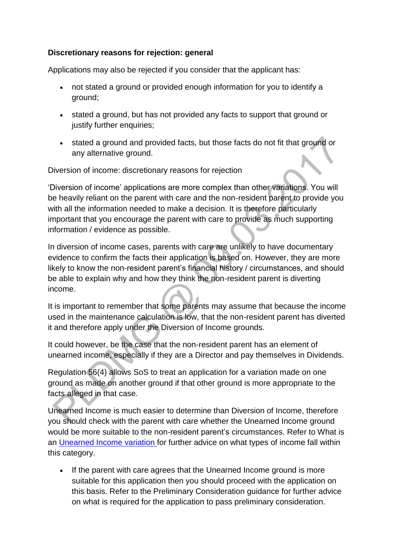## **Discretionary reasons for rejection: general**

Applications may also be rejected if you consider that the applicant has:

- not stated a ground or provided enough information for you to identify a ground;
- stated a ground, but has not provided any facts to support that ground or justify further enquiries;
- stated a ground and provided facts, but those facts do not fit that ground or any alternative ground.

Diversion of income: discretionary reasons for rejection

'Diversion of income' applications are more complex than other variations. You will be heavily reliant on the parent with care and the non-resident parent to provide you with all the information needed to make a decision. It is therefore particularly important that you encourage the parent with care to provide as much supporting information / evidence as possible.

In diversion of income cases, parents with care are unlikely to have documentary evidence to confirm the facts their application is based on. However, they are more likely to know the non-resident parent's financial history / circumstances, and should be able to explain why and how they think the non-resident parent is diverting income.

It is important to remember that some parents may assume that because the income used in the maintenance calculation is low, that the non-resident parent has diverted it and therefore apply under the Diversion of Income grounds.

It could however, be the case that the non-resident parent has an element of unearned income, especially if they are a Director and pay themselves in Dividends.

Regulation 56(4) allows SoS to treat an application for a variation made on one ground as made on another ground if that other ground is more appropriate to the facts alleged in that case.

Unearned Income is much easier to determine than Diversion of Income, therefore you should check with the parent with care whether the Unearned Income ground would be more suitable to the non-resident parent's circumstances. Refer to What is an [Unearned Income variation f](http://np-cmg-sharepoint.link2.gpn.gov.uk/sites/policy-law-and-decision-making-guidance/Pages/Variations/Additional%20Income/Unearned-income.aspx)or further advice on what types of income fall within this category.

• If the parent with care agrees that the Unearned Income ground is more suitable for this application then you should proceed with the application on this basis. Refer to the Preliminary Consideration guidance for further advice on what is required for the application to pass preliminary consideration.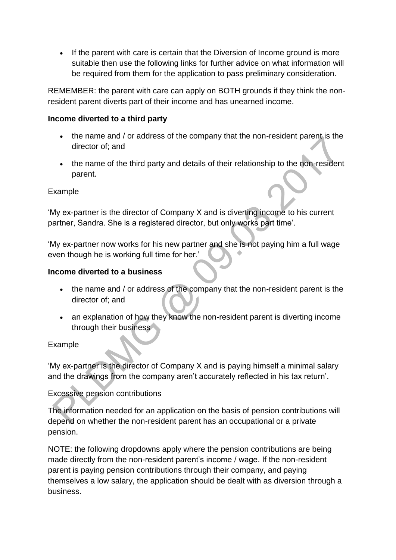If the parent with care is certain that the Diversion of Income ground is more suitable then use the following links for further advice on what information will be required from them for the application to pass preliminary consideration.

REMEMBER: the parent with care can apply on BOTH grounds if they think the nonresident parent diverts part of their income and has unearned income.

#### **Income diverted to a third party**

- the name and / or address of the company that the non-resident parent is the director of; and
- the name of the third party and details of their relationship to the non-resident parent.

#### Example

'My ex-partner is the director of Company X and is diverting income to his current partner, Sandra. She is a registered director, but only works part time'.

'My ex-partner now works for his new partner and she is not paying him a full wage even though he is working full time for her.'

#### **Income diverted to a business**

- the name and / or address of the company that the non-resident parent is the director of; and
- an explanation of how they know the non-resident parent is diverting income through their business

### Example

'My ex-partner is the director of Company X and is paying himself a minimal salary and the drawings from the company aren't accurately reflected in his tax return'.

### Excessive pension contributions

The information needed for an application on the basis of pension contributions will depend on whether the non-resident parent has an occupational or a private pension.

NOTE: the following dropdowns apply where the pension contributions are being made directly from the non-resident parent's income / wage. If the non-resident parent is paying pension contributions through their company, and paying themselves a low salary, the application should be dealt with as diversion through a business.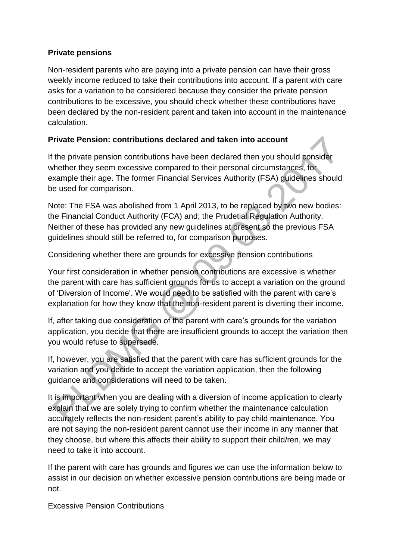### **Private pensions**

Non-resident parents who are paying into a private pension can have their gross weekly income reduced to take their contributions into account. If a parent with care asks for a variation to be considered because they consider the private pension contributions to be excessive, you should check whether these contributions have been declared by the non-resident parent and taken into account in the maintenance calculation.

## **Private Pension: contributions declared and taken into account**

If the private pension contributions have been declared then you should consider whether they seem excessive compared to their personal circumstances, for example their age. The former Financial Services Authority (FSA) guidelines should be used for comparison.

Note: The FSA was abolished from 1 April 2013, to be replaced by two new bodies: the Financial Conduct Authority (FCA) and; the Prudetial Regulation Authority. Neither of these has provided any new guidelines at present so the previous FSA guidelines should still be referred to, for comparison purposes.

Considering whether there are grounds for excessive pension contributions

Your first consideration in whether pension contributions are excessive is whether the parent with care has sufficient grounds for us to accept a variation on the ground of 'Diversion of Income'. We would need to be satisfied with the parent with care's explanation for how they know that the non-resident parent is diverting their income.

If, after taking due consideration of the parent with care's grounds for the variation application, you decide that there are insufficient grounds to accept the variation then you would refuse to supersede.

If, however, you are satisfied that the parent with care has sufficient grounds for the variation and you decide to accept the variation application, then the following guidance and considerations will need to be taken.

It is important when you are dealing with a diversion of income application to clearly explain that we are solely trying to confirm whether the maintenance calculation accurately reflects the non-resident parent's ability to pay child maintenance. You are not saying the non-resident parent cannot use their income in any manner that they choose, but where this affects their ability to support their child/ren, we may need to take it into account.

If the parent with care has grounds and figures we can use the information below to assist in our decision on whether excessive pension contributions are being made or not.

Excessive Pension Contributions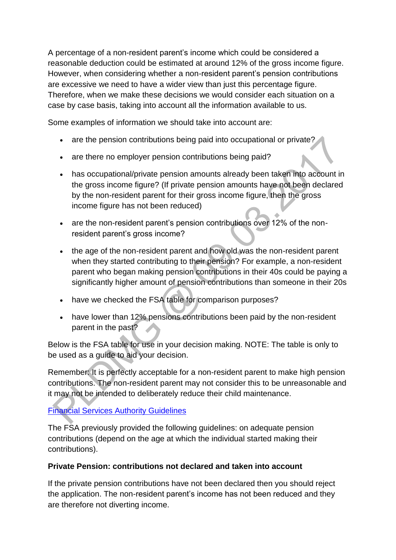A percentage of a non-resident parent's income which could be considered a reasonable deduction could be estimated at around 12% of the gross income figure. However, when considering whether a non-resident parent's pension contributions are excessive we need to have a wider view than just this percentage figure. Therefore, when we make these decisions we would consider each situation on a case by case basis, taking into account all the information available to us.

Some examples of information we should take into account are:

- are the pension contributions being paid into occupational or private?
- are there no employer pension contributions being paid?
- has occupational/private pension amounts already been taken into account in the gross income figure? (If private pension amounts have not been declared by the non-resident parent for their gross income figure, then the gross income figure has not been reduced)
- are the non-resident parent's pension contributions over 12% of the nonresident parent's gross income?
- the age of the non-resident parent and how old was the non-resident parent when they started contributing to their pension? For example, a non-resident parent who began making pension contributions in their 40s could be paying a significantly higher amount of pension contributions than someone in their 20s
- have we checked the FSA table for comparison purposes?
- have lower than 12% pensions contributions been paid by the non-resident parent in the past?

Below is the FSA table for use in your decision making. NOTE: The table is only to be used as a guide to aid your decision.

Remember: It is perfectly acceptable for a non-resident parent to make high pension contributions. The non-resident parent may not consider this to be unreasonable and it may not be intended to deliberately reduce their child maintenance.

## [Financial Services Authority Guidelines](http://np-cmg-sharepoint.link2.gpn.gov.uk/sites/policy-law-and-decision-making-guidance/Pages/Variations/Additional%20Income/)

The FSA previously provided the following guidelines: on adequate pension contributions (depend on the age at which the individual started making their contributions).

## **Private Pension: contributions not declared and taken into account**

If the private pension contributions have not been declared then you should reject the application. The non-resident parent's income has not been reduced and they are therefore not diverting income.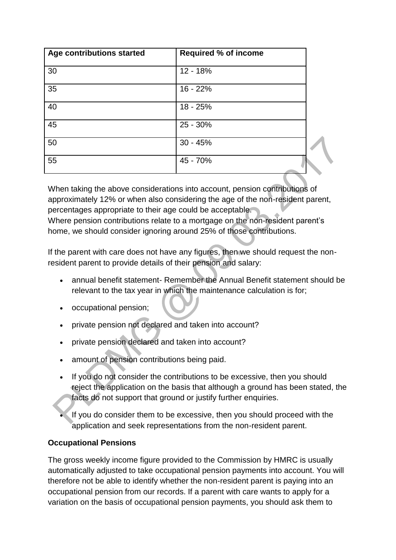| Age contributions started | <b>Required % of income</b> |
|---------------------------|-----------------------------|
| 30                        | 12 - 18%                    |
| 35                        | $16 - 22%$                  |
| 40                        | $18 - 25%$                  |
| 45                        | 25 - 30%                    |
| 50                        | $30 - 45%$                  |
| 55                        | 45 - 70%                    |

When taking the above considerations into account, pension contributions of approximately 12% or when also considering the age of the non-resident parent, percentages appropriate to their age could be acceptable. Where pension contributions relate to a mortgage on the non-resident parent's home, we should consider ignoring around 25% of those contributions.

If the parent with care does not have any figures, then we should request the nonresident parent to provide details of their pension and salary:

- annual benefit statement- Remember the Annual Benefit statement should be relevant to the tax year in which the maintenance calculation is for;
- occupational pension;
- private pension not declared and taken into account?
- private pension declared and taken into account?
- amount of pension contributions being paid.
- If you do not consider the contributions to be excessive, then you should reject the application on the basis that although a ground has been stated, the facts do not support that ground or justify further enquiries.
- If you do consider them to be excessive, then you should proceed with the application and seek representations from the non-resident parent.

### **Occupational Pensions**

The gross weekly income figure provided to the Commission by HMRC is usually automatically adjusted to take occupational pension payments into account. You will therefore not be able to identify whether the non-resident parent is paying into an occupational pension from our records. If a parent with care wants to apply for a variation on the basis of occupational pension payments, you should ask them to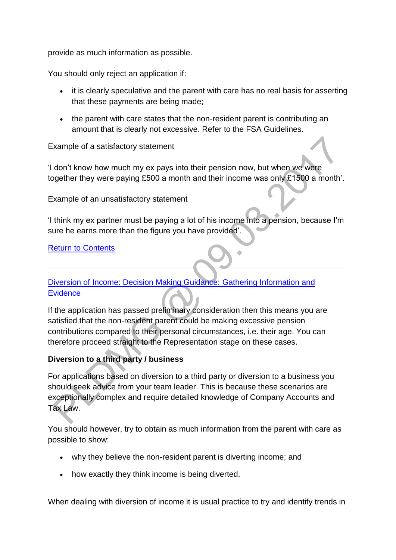provide as much information as possible.

You should only reject an application if:

- it is clearly speculative and the parent with care has no real basis for asserting that these payments are being made;
- the parent with care states that the non-resident parent is contributing an amount that is clearly not excessive. Refer to the FSA Guidelines.

#### Example of a satisfactory statement

'I don't know how much my ex pays into their pension now, but when we were together they were paying £500 a month and their income was only £1500 a month'.

Example of an unsatisfactory statement

'I think my ex partner must be paying a lot of his income into a pension, because I'm sure he earns more than the figure you have provided'.

#### [Return to Contents](http://np-cmg-sharepoint.link2.gpn.gov.uk/sites/policy-law-and-decision-making-guidance/Pages/Variations/Additional%20Income/Diversion-of-income.aspx#Diversion%20of%20Income%3a%20Decision%20Making%20Guidance%3a%20Contents)

## [Diversion of Income: Decision Making Guidance: Gathering Information and](http://np-cmg-sharepoint.link2.gpn.gov.uk/sites/policy-law-and-decision-making-guidance/Pages/Variations/Additional%20Income/Diversion-of-income.aspx)  **[Evidence](http://np-cmg-sharepoint.link2.gpn.gov.uk/sites/policy-law-and-decision-making-guidance/Pages/Variations/Additional%20Income/Diversion-of-income.aspx)**

If the application has passed preliminary consideration then this means you are satisfied that the non-resident parent could be making excessive pension contributions compared to their personal circumstances, i.e. their age. You can therefore proceed straight to the Representation stage on these cases.

### **Diversion to a third party / business**

For applications based on diversion to a third party or diversion to a business you should seek advice from your team leader. This is because these scenarios are exceptionally complex and require detailed knowledge of Company Accounts and Tax Law.

You should however, try to obtain as much information from the parent with care as possible to show:

- why they believe the non-resident parent is diverting income; and
- how exactly they think income is being diverted.

When dealing with diversion of income it is usual practice to try and identify trends in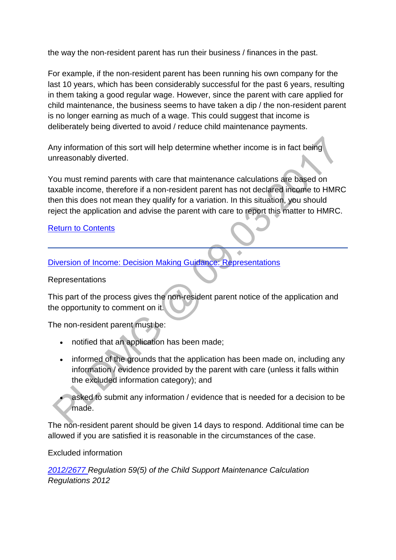the way the non-resident parent has run their business / finances in the past.

For example, if the non-resident parent has been running his own company for the last 10 years, which has been considerably successful for the past 6 years, resulting in them taking a good regular wage. However, since the parent with care applied for child maintenance, the business seems to have taken a dip / the non-resident parent is no longer earning as much of a wage. This could suggest that income is deliberately being diverted to avoid / reduce child maintenance payments.

Any information of this sort will help determine whether income is in fact being unreasonably diverted.

You must remind parents with care that maintenance calculations are based on taxable income, therefore if a non-resident parent has not declared income to HMRC then this does not mean they qualify for a variation. In this situation, you should reject the application and advise the parent with care to report this matter to HMRC.

### **[Return to Contents](http://np-cmg-sharepoint.link2.gpn.gov.uk/sites/policy-law-and-decision-making-guidance/Pages/Variations/Additional%20Income/Diversion-of-income.aspx#Diversion%20of%20Income%3a%20Decision%20Making%20Guidance%3a%20Contents)**

[Diversion of Income: Decision Making Guidance: Representations](http://np-cmg-sharepoint.link2.gpn.gov.uk/sites/policy-law-and-decision-making-guidance/Pages/Variations/Additional%20Income/Diversion-of-income.aspx)

#### Representations

This part of the process gives the non-resident parent notice of the application and the opportunity to comment on it.

The non-resident parent must be:

- notified that an application has been made;
- informed of the grounds that the application has been made on, including any information / evidence provided by the parent with care (unless it falls within the excluded information category); and

 asked to submit any information / evidence that is needed for a decision to be made.

The non-resident parent should be given 14 days to respond. Additional time can be allowed if you are satisfied it is reasonable in the circumstances of the case.

### Excluded information

*[2012/2677 R](http://www.legislation.gov.uk/uksi/2012/2677)egulation 59(5) of the Child Support Maintenance Calculation Regulations 2012*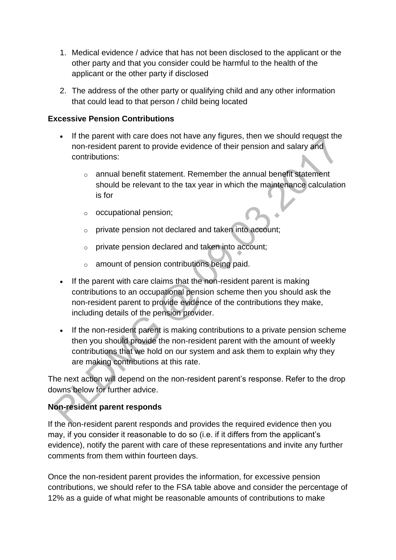- 1. Medical evidence / advice that has not been disclosed to the applicant or the other party and that you consider could be harmful to the health of the applicant or the other party if disclosed
- 2. The address of the other party or qualifying child and any other information that could lead to that person / child being located

### **Excessive Pension Contributions**

- If the parent with care does not have any figures, then we should request the non-resident parent to provide evidence of their pension and salary and contributions:
	- o annual benefit statement. Remember the annual benefit statement should be relevant to the tax year in which the maintenance calculation is for
	- o occupational pension;
	- o private pension not declared and taken into account;
	- o private pension declared and taken into account;
	- o amount of pension contributions being paid.
- If the parent with care claims that the non-resident parent is making contributions to an occupational pension scheme then you should ask the non-resident parent to provide evidence of the contributions they make, including details of the pension provider.
- If the non-resident parent is making contributions to a private pension scheme then you should provide the non-resident parent with the amount of weekly contributions that we hold on our system and ask them to explain why they are making contributions at this rate.

The next action will depend on the non-resident parent's response. Refer to the drop downs below for further advice.

## **Non-resident parent responds**

If the non-resident parent responds and provides the required evidence then you may, if you consider it reasonable to do so (i.e. if it differs from the applicant's evidence), notify the parent with care of these representations and invite any further comments from them within fourteen days.

Once the non-resident parent provides the information, for excessive pension contributions, we should refer to the FSA table above and consider the percentage of 12% as a guide of what might be reasonable amounts of contributions to make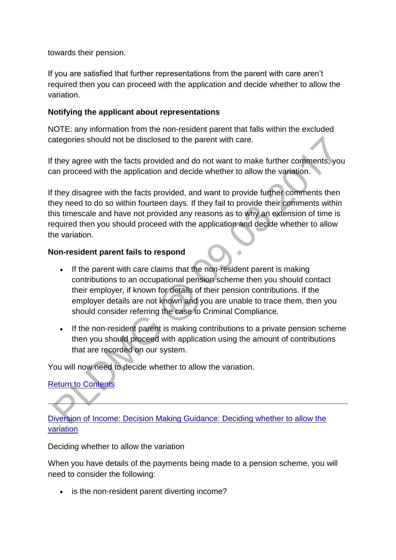towards their pension.

If you are satisfied that further representations from the parent with care aren't required then you can proceed with the application and decide whether to allow the variation.

### **Notifying the applicant about representations**

NOTE: any information from the non-resident parent that falls within the excluded categories should not be disclosed to the parent with care.

If they agree with the facts provided and do not want to make further comments, you can proceed with the application and decide whether to allow the variation.

If they disagree with the facts provided, and want to provide further comments then they need to do so within fourteen days. If they fail to provide their comments within this timescale and have not provided any reasons as to why an extension of time is required then you should proceed with the application and decide whether to allow the variation.

### **Non-resident parent fails to respond**

- If the parent with care claims that the non-resident parent is making contributions to an occupational pension scheme then you should contact their employer, if known for details of their pension contributions. If the employer details are not known and you are unable to trace them, then you should consider referring the case to Criminal Compliance.
- If the non-resident parent is making contributions to a private pension scheme then you should proceed with application using the amount of contributions that are recorded on our system.

You will now need to decide whether to allow the variation.

## [Return to Contents](http://np-cmg-sharepoint.link2.gpn.gov.uk/sites/policy-law-and-decision-making-guidance/Pages/Variations/Additional%20Income/Diversion-of-income.aspx#Diversion%20of%20Income%3a%20Decision%20Making%20Guidance%3a%20Contents)

[Diversion of Income: Decision Making Guidance: Deciding whether to allow the](http://np-cmg-sharepoint.link2.gpn.gov.uk/sites/policy-law-and-decision-making-guidance/Pages/Variations/Additional%20Income/Diversion-of-income.aspx)  [variation](http://np-cmg-sharepoint.link2.gpn.gov.uk/sites/policy-law-and-decision-making-guidance/Pages/Variations/Additional%20Income/Diversion-of-income.aspx)

Deciding whether to allow the variation

When you have details of the payments being made to a pension scheme, you will need to consider the following:

• is the non-resident parent diverting income?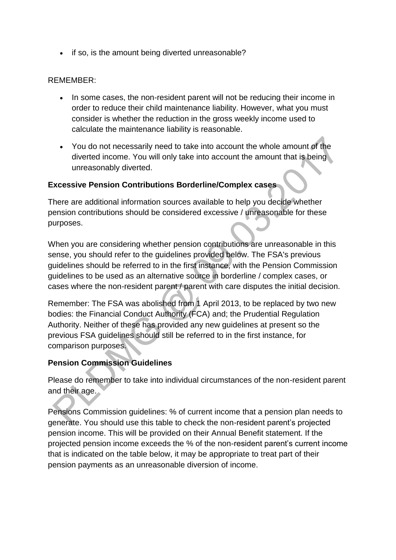• if so, is the amount being diverted unreasonable?

### REMEMBER:

- In some cases, the non-resident parent will not be reducing their income in order to reduce their child maintenance liability. However, what you must consider is whether the reduction in the gross weekly income used to calculate the maintenance liability is reasonable.
- You do not necessarily need to take into account the whole amount of the diverted income. You will only take into account the amount that is being unreasonably diverted.

#### **Excessive Pension Contributions Borderline/Complex cases**

There are additional information sources available to help you decide whether pension contributions should be considered excessive / unreasonable for these purposes.

When you are considering whether pension contributions are unreasonable in this sense, you should refer to the guidelines provided below. The FSA's previous guidelines should be referred to in the first instance, with the Pension Commission guidelines to be used as an alternative source in borderline / complex cases, or cases where the non-resident parent / parent with care disputes the initial decision.

Remember: The FSA was abolished from 1 April 2013, to be replaced by two new bodies: the Financial Conduct Authority (FCA) and; the Prudential Regulation Authority. Neither of these has provided any new guidelines at present so the previous FSA guidelines should still be referred to in the first instance, for comparison purposes.

#### **Pension Commission Guidelines**

Please do remember to take into individual circumstances of the non-resident parent and their age.

Pensions Commission guidelines: % of current income that a pension plan needs to generate. You should use this table to check the non-resident parent's projected pension income. This will be provided on their Annual Benefit statement. If the projected pension income exceeds the % of the non-resident parent's current income that is indicated on the table below, it may be appropriate to treat part of their pension payments as an unreasonable diversion of income.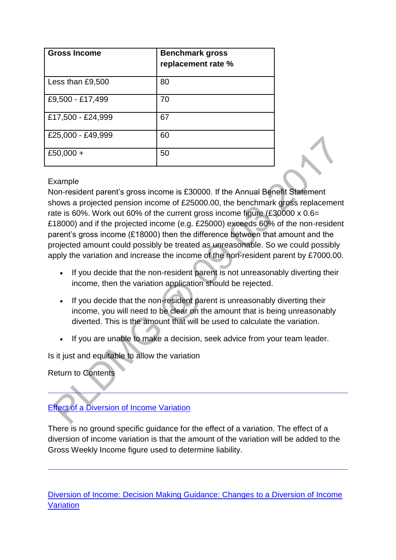| <b>Gross Income</b> | <b>Benchmark gross</b><br>replacement rate % |
|---------------------|----------------------------------------------|
| Less than £9,500    | 80                                           |
| £9,500 - £17,499    | 70                                           |
| £17,500 - £24,999   | 67                                           |
| £25,000 - £49,999   | 60                                           |
| £50,000 +           | 50                                           |

#### Example

Non-resident parent's gross income is £30000. If the Annual Benefit Statement shows a projected pension income of £25000.00, the benchmark gross replacement rate is 60%. Work out 60% of the current gross income figure (£30000 x 0.6= £18000) and if the projected income (e.g. £25000) exceeds 60% of the non-resident parent's gross income (£18000) then the difference between that amount and the projected amount could possibly be treated as unreasonable. So we could possibly apply the variation and increase the income of the non-resident parent by £7000.00.

- If you decide that the non-resident parent is not unreasonably diverting their income, then the variation application should be rejected.
- If you decide that the non-resident parent is unreasonably diverting their income, you will need to be clear on the amount that is being unreasonably diverted. This is the amount that will be used to calculate the variation.
- If you are unable to make a decision, seek advice from your team leader.

Is it just and equitable to allow the variation

Return to Contents

# [Effect of a Diversion of Income Variation](http://np-cmg-sharepoint.link2.gpn.gov.uk/sites/policy-law-and-decision-making-guidance/Pages/Variations/Additional%20Income/Diversion-of-income.aspx)

There is no ground specific guidance for the effect of a variation. The effect of a diversion of income variation is that the amount of the variation will be added to the Gross Weekly Income figure used to determine liability.

[Diversion of Income: Decision Making Guidance: Changes to a Diversion of Income](http://np-cmg-sharepoint.link2.gpn.gov.uk/sites/policy-law-and-decision-making-guidance/Pages/Variations/Additional%20Income/Diversion-of-income.aspx)  **[Variation](http://np-cmg-sharepoint.link2.gpn.gov.uk/sites/policy-law-and-decision-making-guidance/Pages/Variations/Additional%20Income/Diversion-of-income.aspx)**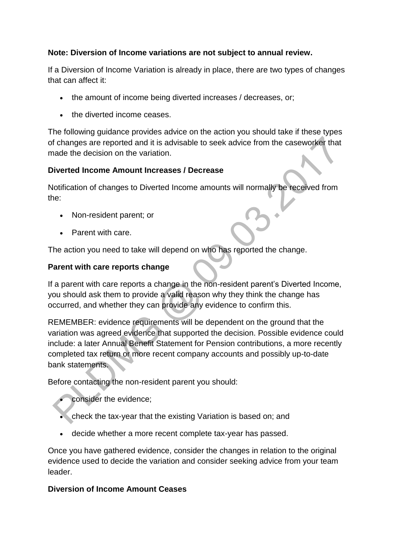## **Note: Diversion of Income variations are not subject to annual review.**

If a Diversion of Income Variation is already in place, there are two types of changes that can affect it:

- the amount of income being diverted increases / decreases, or;
- the diverted income ceases.

The following guidance provides advice on the action you should take if these types of changes are reported and it is advisable to seek advice from the caseworker that made the decision on the variation.

## **Diverted Income Amount Increases / Decrease**

Notification of changes to Diverted Income amounts will normally be received from the:

- Non-resident parent; or
- Parent with care.

The action you need to take will depend on who has reported the change.

## **Parent with care reports change**

If a parent with care reports a change in the non-resident parent's Diverted Income, you should ask them to provide a valid reason why they think the change has occurred, and whether they can provide any evidence to confirm this.

REMEMBER: evidence requirements will be dependent on the ground that the variation was agreed evidence that supported the decision. Possible evidence could include: a later Annual Benefit Statement for Pension contributions, a more recently completed tax return or more recent company accounts and possibly up-to-date bank statements.

Before contacting the non-resident parent you should:

- consider the evidence;
- check the tax-year that the existing Variation is based on; and
- decide whether a more recent complete tax-year has passed.

Once you have gathered evidence, consider the changes in relation to the original evidence used to decide the variation and consider seeking advice from your team leader.

## **Diversion of Income Amount Ceases**